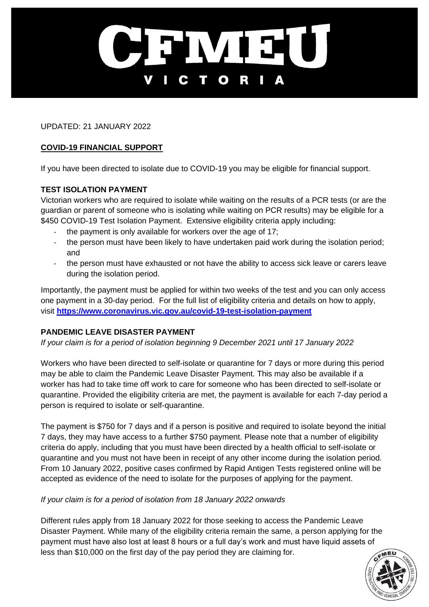

UPDATED: 21 JANUARY 2022

## **COVID-19 FINANCIAL SUPPORT**

If you have been directed to isolate due to COVID-19 you may be eligible for financial support.

## **TEST ISOLATION PAYMENT**

Victorian workers who are required to isolate while waiting on the results of a PCR tests (or are the guardian or parent of someone who is isolating while waiting on PCR results) may be eligible for a \$450 COVID-19 Test Isolation Payment. Extensive eligibility criteria apply including:

- the payment is only available for workers over the age of 17;
- the person must have been likely to have undertaken paid work during the isolation period; and
- the person must have exhausted or not have the ability to access sick leave or carers leave during the isolation period.

Importantly, the payment must be applied for within two weeks of the test and you can only access one payment in a 30-day period. For the full list of eligibility criteria and details on how to apply, visit **<https://www.coronavirus.vic.gov.au/covid-19-test-isolation-payment>**

# **PANDEMIC LEAVE DISASTER PAYMENT**

*If your claim is for a period of isolation beginning 9 December 2021 until 17 January 2022*

Workers who have been directed to self-isolate or quarantine for 7 days or more during this period may be able to claim the Pandemic Leave Disaster Payment. This may also be available if a worker has had to take time off work to care for someone who has been directed to self-isolate or quarantine. Provided the eligibility criteria are met, the payment is available for each 7-day period a person is required to isolate or self-quarantine.

The payment is \$750 for 7 days and if a person is positive and required to isolate beyond the initial 7 days, they may have access to a further \$750 payment. Please note that a number of eligibility criteria do apply, including that you must have been directed by a health official to self-isolate or quarantine and you must not have been in receipt of any other income during the isolation period. From 10 January 2022, positive cases confirmed by Rapid Antigen Tests registered online will be accepted as evidence of the need to isolate for the purposes of applying for the payment.

#### *If your claim is for a period of isolation from 18 January 2022 onwards*

Different rules apply from 18 January 2022 for those seeking to access the Pandemic Leave Disaster Payment. While many of the eligibility criteria remain the same, a person applying for the payment must have also lost at least 8 hours or a full day's work and must have liquid assets of less than \$10,000 on the first day of the pay period they are claiming for.